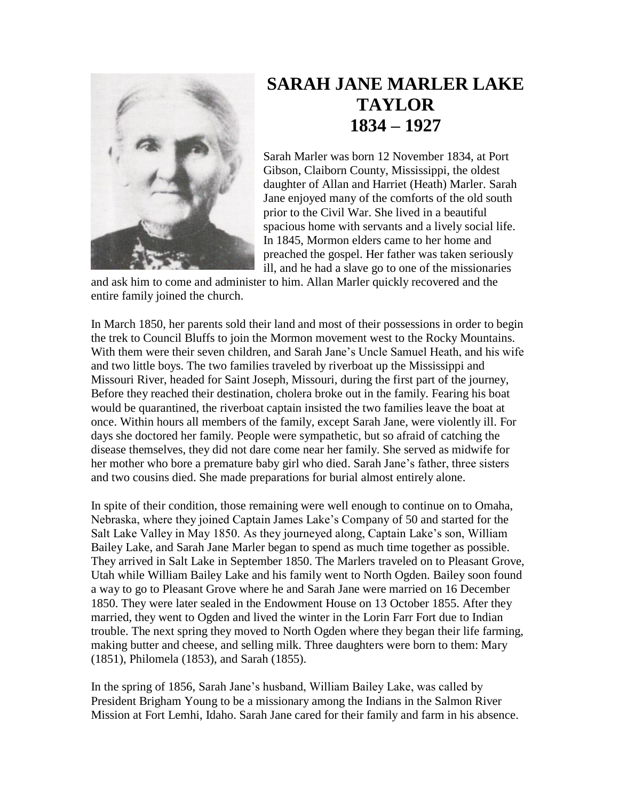

## **SARAH JANE MARLER LAKE TAYLOR 1834 – 1927**

Sarah Marler was born 12 November 1834, at Port Gibson, Claiborn County, Mississippi, the oldest daughter of Allan and Harriet (Heath) Marler. Sarah Jane enjoyed many of the comforts of the old south prior to the Civil War. She lived in a beautiful spacious home with servants and a lively social life. In 1845, Mormon elders came to her home and preached the gospel. Her father was taken seriously ill, and he had a slave go to one of the missionaries

and ask him to come and administer to him. Allan Marler quickly recovered and the entire family joined the church.

In March 1850, her parents sold their land and most of their possessions in order to begin the trek to Council Bluffs to join the Mormon movement west to the Rocky Mountains. With them were their seven children, and Sarah Jane's Uncle Samuel Heath, and his wife and two little boys. The two families traveled by riverboat up the Mississippi and Missouri River, headed for Saint Joseph, Missouri, during the first part of the journey, Before they reached their destination, cholera broke out in the family. Fearing his boat would be quarantined, the riverboat captain insisted the two families leave the boat at once. Within hours all members of the family, except Sarah Jane, were violently ill. For days she doctored her family. People were sympathetic, but so afraid of catching the disease themselves, they did not dare come near her family. She served as midwife for her mother who bore a premature baby girl who died. Sarah Jane's father, three sisters and two cousins died. She made preparations for burial almost entirely alone.

In spite of their condition, those remaining were well enough to continue on to Omaha, Nebraska, where they joined Captain James Lake's Company of 50 and started for the Salt Lake Valley in May 1850. As they journeyed along, Captain Lake's son, William Bailey Lake, and Sarah Jane Marler began to spend as much time together as possible. They arrived in Salt Lake in September 1850. The Marlers traveled on to Pleasant Grove, Utah while William Bailey Lake and his family went to North Ogden. Bailey soon found a way to go to Pleasant Grove where he and Sarah Jane were married on 16 December 1850. They were later sealed in the Endowment House on 13 October 1855. After they married, they went to Ogden and lived the winter in the Lorin Farr Fort due to Indian trouble. The next spring they moved to North Ogden where they began their life farming, making butter and cheese, and selling milk. Three daughters were born to them: Mary (1851), Philomela (1853), and Sarah (1855).

In the spring of 1856, Sarah Jane's husband, William Bailey Lake, was called by President Brigham Young to be a missionary among the Indians in the Salmon River Mission at Fort Lemhi, Idaho. Sarah Jane cared for their family and farm in his absence.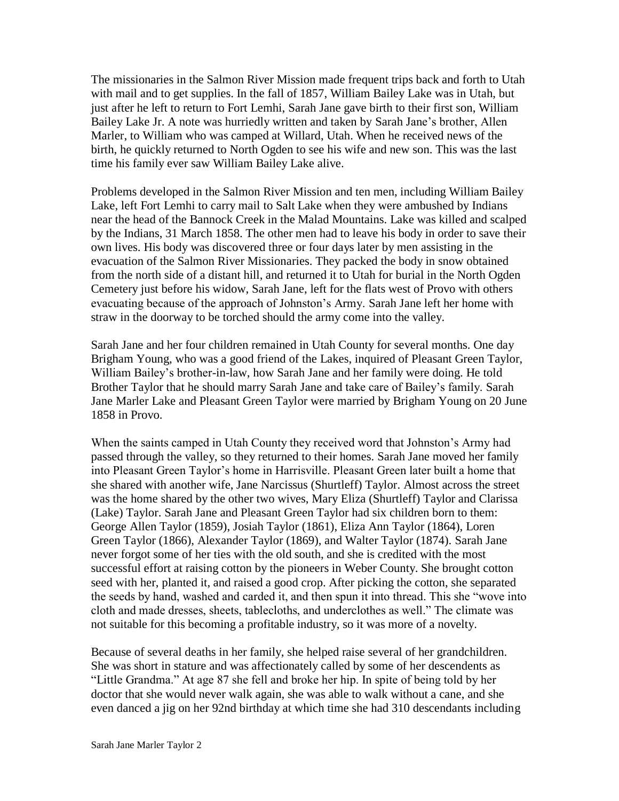The missionaries in the Salmon River Mission made frequent trips back and forth to Utah with mail and to get supplies. In the fall of 1857, William Bailey Lake was in Utah, but just after he left to return to Fort Lemhi, Sarah Jane gave birth to their first son, William Bailey Lake Jr. A note was hurriedly written and taken by Sarah Jane's brother, Allen Marler, to William who was camped at Willard, Utah. When he received news of the birth, he quickly returned to North Ogden to see his wife and new son. This was the last time his family ever saw William Bailey Lake alive.

Problems developed in the Salmon River Mission and ten men, including William Bailey Lake, left Fort Lemhi to carry mail to Salt Lake when they were ambushed by Indians near the head of the Bannock Creek in the Malad Mountains. Lake was killed and scalped by the Indians, 31 March 1858. The other men had to leave his body in order to save their own lives. His body was discovered three or four days later by men assisting in the evacuation of the Salmon River Missionaries. They packed the body in snow obtained from the north side of a distant hill, and returned it to Utah for burial in the North Ogden Cemetery just before his widow, Sarah Jane, left for the flats west of Provo with others evacuating because of the approach of Johnston's Army. Sarah Jane left her home with straw in the doorway to be torched should the army come into the valley.

Sarah Jane and her four children remained in Utah County for several months. One day Brigham Young, who was a good friend of the Lakes, inquired of Pleasant Green Taylor, William Bailey's brother-in-law, how Sarah Jane and her family were doing. He told Brother Taylor that he should marry Sarah Jane and take care of Bailey's family. Sarah Jane Marler Lake and Pleasant Green Taylor were married by Brigham Young on 20 June 1858 in Provo.

When the saints camped in Utah County they received word that Johnston's Army had passed through the valley, so they returned to their homes. Sarah Jane moved her family into Pleasant Green Taylor's home in Harrisville. Pleasant Green later built a home that she shared with another wife, Jane Narcissus (Shurtleff) Taylor. Almost across the street was the home shared by the other two wives, Mary Eliza (Shurtleff) Taylor and Clarissa (Lake) Taylor. Sarah Jane and Pleasant Green Taylor had six children born to them: George Allen Taylor (1859), Josiah Taylor (1861), Eliza Ann Taylor (1864), Loren Green Taylor (1866), Alexander Taylor (1869), and Walter Taylor (1874). Sarah Jane never forgot some of her ties with the old south, and she is credited with the most successful effort at raising cotton by the pioneers in Weber County. She brought cotton seed with her, planted it, and raised a good crop. After picking the cotton, she separated the seeds by hand, washed and carded it, and then spun it into thread. This she "wove into cloth and made dresses, sheets, tablecloths, and underclothes as well." The climate was not suitable for this becoming a profitable industry, so it was more of a novelty.

Because of several deaths in her family, she helped raise several of her grandchildren. She was short in stature and was affectionately called by some of her descendents as "Little Grandma." At age 87 she fell and broke her hip. In spite of being told by her doctor that she would never walk again, she was able to walk without a cane, and she even danced a jig on her 92nd birthday at which time she had 310 descendants including